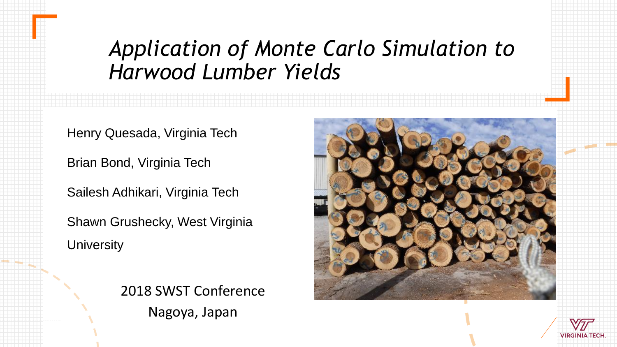#### *Application of Monte Carlo Simulation to Harwood Lumber Yields*

Henry Quesada, Virginia Tech

Brian Bond, Virginia Tech

Sailesh Adhikari, Virginia Tech

Shawn Grushecky, West Virginia **University** 





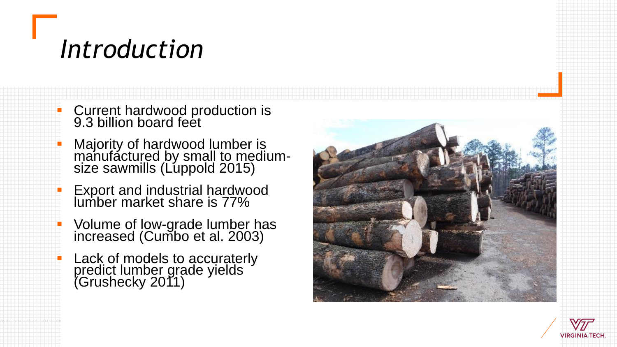## *Introduction*

**E** Current hardwood production is 9.3 billion board feet

- **E** Majority of hardwood lumber is manufactured by small to mediumsize sawmills (Luppold 2015)
- **Export and industrial hardwood** lumber market share is 77%
- **E** Volume of low-grade lumber has increased (Cumbo et al. 2003)
- **E** Lack of models to accuraterly predict lumber grade yields (Grushecky 2011)



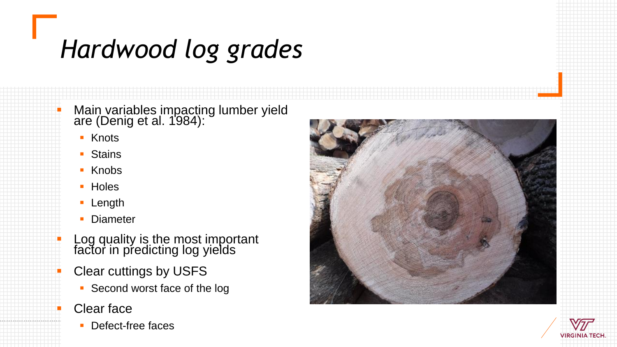# *Hardwood log grades*

**• Main variables impacting lumber yield** are (Denig et al. 1984):

- Knots
- **Stains**
- Knobs
- Holes
- Length
- **Diameter**
- **EXEC** Log quality is the most important factor in predicting log yields
	- **Clear cuttings by USFS** 
		- **Second worst face of the log**
	- **Clear face** 
		- Defect-free faces



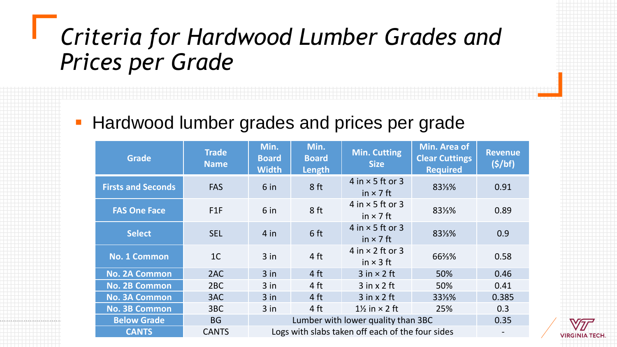#### *Criteria for Hardwood Lumber Grades and Prices per Grade*

#### **EXTERGHARY Hardwood lumber grades and prices per grade**

| <b>Grade</b>              | <b>Trade</b><br><b>Name</b> | Min.<br><b>Board</b><br><b>Width</b>             | Min.<br><b>Board</b><br>Length | <b>Min. Cutting</b><br><b>Size</b>            | Min. Area of<br><b>Clear Cuttings</b><br><b>Required</b> | <b>Revenue</b><br>(5/bf) |  |
|---------------------------|-----------------------------|--------------------------------------------------|--------------------------------|-----------------------------------------------|----------------------------------------------------------|--------------------------|--|
| <b>Firsts and Seconds</b> | <b>FAS</b>                  | 6 <sub>in</sub>                                  | 8 ft                           | $4$ in $\times$ 5 ft or 3<br>in $\times$ 7 ft | 831/3%                                                   | 0.91                     |  |
| <b>FAS One Face</b>       | F1F                         | 6 in                                             | 8 ft                           | 4 in $\times$ 5 ft or 3<br>in $\times$ 7 ft   | 831/3%                                                   | 0.89                     |  |
| <b>Select</b>             | <b>SEL</b>                  | $4$ in                                           | 6 ft                           | $4$ in $\times$ 5 ft or 3<br>in $\times$ 7 ft | 831/3%                                                   | 0.9                      |  |
| <b>No. 1 Common</b>       | 1 <sup>C</sup>              | $3$ in                                           | 4 ft                           | 4 in $\times$ 2 ft or 3<br>in $\times$ 3 ft   | 66%%                                                     | 0.58                     |  |
| <b>No. 2A Common</b>      | 2AC                         | $3$ in                                           | 4 ft                           | $3$ in $\times$ 2 ft                          | 50%                                                      | 0.46                     |  |
| <b>No. 2B Common</b>      | 2BC                         | $3$ in                                           | 4 ft                           | $3$ in x $2$ ft                               | 50%                                                      | 0.41                     |  |
| <b>No. 3A Common</b>      | 3AC                         | $3$ in                                           | 4 ft                           | $3$ in x 2 ft                                 | 331%                                                     | 0.385                    |  |
| <b>No. 3B Common</b>      | 3BC                         | $3$ in                                           | 4 ft                           | $1\frac{1}{2}$ in $\times$ 2 ft               | 25%                                                      | 0.3                      |  |
| <b>Below Grade</b>        | <b>BG</b>                   |                                                  | 0.35                           |                                               |                                                          |                          |  |
| <b>CANTS</b>              | <b>CANTS</b>                | Logs with slabs taken off each of the four sides |                                |                                               |                                                          |                          |  |

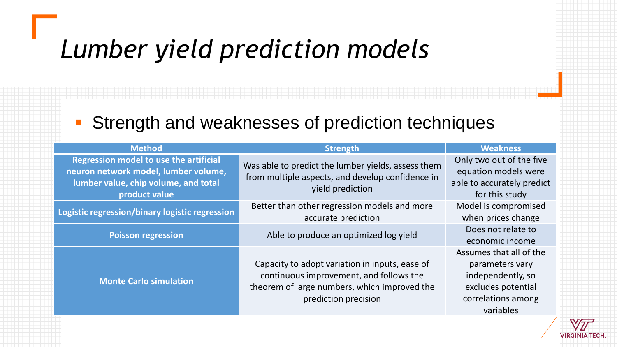## *Lumber yield prediction models*

#### ■ Strength and weaknesses of prediction techniques

| <b>Method</b>                                                                                                                                  | <b>Strength</b>                                                                                                                                                   | <b>Weakness</b>                                                                                                          |  |
|------------------------------------------------------------------------------------------------------------------------------------------------|-------------------------------------------------------------------------------------------------------------------------------------------------------------------|--------------------------------------------------------------------------------------------------------------------------|--|
| <b>Regression model to use the artificial</b><br>neuron network model, lumber volume,<br>lumber value, chip volume, and total<br>product value | Was able to predict the lumber yields, assess them<br>from multiple aspects, and develop confidence in<br>yield prediction                                        | Only two out of the five<br>equation models were<br>able to accurately predict<br>for this study                         |  |
| Logistic regression/binary logistic regression                                                                                                 | Better than other regression models and more<br>accurate prediction                                                                                               | Model is compromised<br>when prices change                                                                               |  |
| <b>Poisson regression</b>                                                                                                                      | Able to produce an optimized log yield                                                                                                                            | Does not relate to<br>economic income                                                                                    |  |
| <b>Monte Carlo simulation</b>                                                                                                                  | Capacity to adopt variation in inputs, ease of<br>continuous improvement, and follows the<br>theorem of large numbers, which improved the<br>prediction precision | Assumes that all of the<br>parameters vary<br>independently, so<br>excludes potential<br>correlations among<br>variables |  |

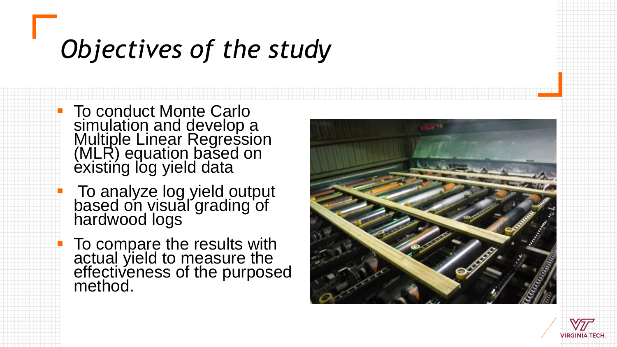## *Objectives of the study*

**To conduct Monte Carlo** simulation and develop a Multiple Linear Regression (MLR) equation based on èxistińg log yield data

**To analyze log yield output** based on visual grading of hardwood logs

**To compare the results with** actual yield to measure the effectiveness of the purposed method.



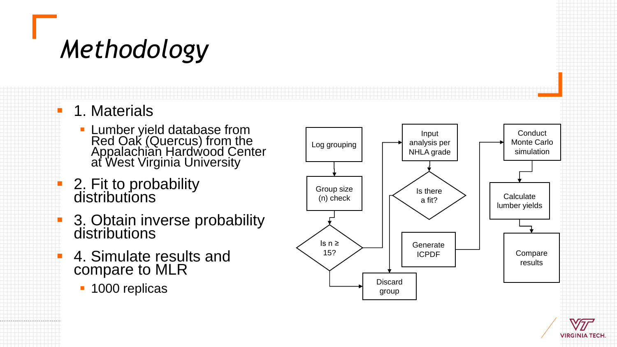## *Methodology*

- 1. Materials
	- **Eumber yield database from** Red Oak (Quercus) from the Appalachian Hardwood Center at West Virginia University
- $\blacksquare$  2. Fit to probability distributions
- **B.** 3. Obtain inverse probability distributions
	- 4. Simulate results and compare to MLR
		- 1000 replicas



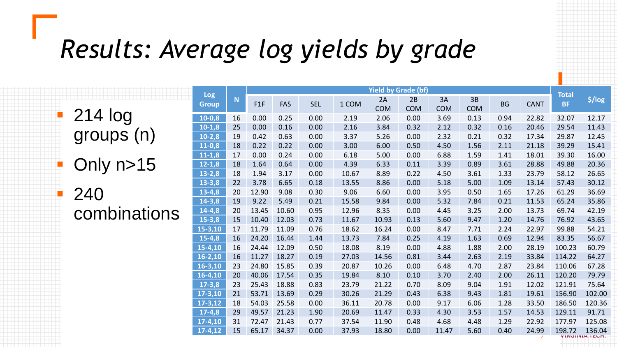## *Results: Average log yields by grade*

|                                    | <b>Log</b>   |    | <b>Yield by Grade (bf)</b> |            |            |       |                  |                  |                  |                  |           | <b>Total</b> |           |          |
|------------------------------------|--------------|----|----------------------------|------------|------------|-------|------------------|------------------|------------------|------------------|-----------|--------------|-----------|----------|
|                                    | <b>Group</b> | N  | F1F                        | <b>FAS</b> | <b>SEL</b> | 1 COM | 2A<br><b>COM</b> | 2B<br><b>COM</b> | 3A<br><b>COM</b> | 3B<br><b>COM</b> | <b>BG</b> | <b>CANT</b>  | <b>BF</b> | \$ / log |
| 214 log<br>groups (n)<br>Dnly n>15 | $10-0,8$     | 16 | 0.00                       | 0.25       | 0.00       | 2.19  | 2.06             | 0.00             | 3.69             | 0.13             | 0.94      | 22.82        | 32.07     | 12.17    |
|                                    | $10-1,8$     | 25 | 0.00                       | 0.16       | 0.00       | 2.16  | 3.84             | 0.32             | 2.12             | 0.32             | 0.16      | 20.46        | 29.54     | 11.43    |
|                                    | $10-2,8$     | 19 | 0.42                       | 0.63       | 0.00       | 3.37  | 5.26             | 0.00             | 2.32             | 0.21             | 0.32      | 17.34        | 29.87     | 12.45    |
|                                    | $11-0.8$     | 18 | 0.22                       | 0.22       | 0.00       | 3.00  | 6.00             | 0.50             | 4.50             | 1.56             | 2.11      | 21.18        | 39.29     | 15.41    |
|                                    | $11 - 1,8$   | 17 | 0.00                       | 0.24       | 0.00       | 6.18  | 5.00             | 0.00             | 6.88             | 1.59             | 1.41      | 18.01        | 39.30     | 16.00    |
|                                    | $12 - 1,8$   | 18 | 1.64                       | 0.64       | 0.00       | 4.39  | 6.33             | 0.11             | 3.39             | 0.89             | 3.61      | 28.88        | 49.88     | 20.36    |
|                                    | $13 - 2,8$   | 18 | 1.94                       | 3.17       | 0.00       | 10.67 | 8.89             | 0.22             | 4.50             | 3.61             | 1.33      | 23.79        | 58.12     | 26.65    |
|                                    | $13 - 3,8$   | 22 | 3.78                       | 6.65       | 0.18       | 13.55 | 8.86             | 0.00             | 5.18             | 5.00             | 1.09      | 13.14        | 57.43     | 30.12    |
| i.<br>240                          | $13-4,8$     | 20 | 12.90                      | 9.08       | 0.30       | 9.06  | 6.60             | 0.00             | 3.95             | 0.50             | 1.65      | 17.26        | 61.29     | 36.69    |
|                                    | $14 - 3,8$   | 19 | 9.22                       | 5.49       | 0.21       | 15.58 | 9.84             | 0.00             | 5.32             | 7.84             | 0.21      | 11.53        | 65.24     | 35.86    |
| combinations                       | $14-4,8$     | 20 | 13.45                      | 10.60      | 0.95       | 12.96 | 8.35             | 0.00             | 4.45             | 3.25             | 2.00      | 13.73        | 69.74     | 42.19    |
|                                    | $15 - 3,8$   | 15 | 10.40                      | 12.03      | 0.73       | 11.67 | 10.93            | 0.13             | 5.60             | 9.47             | 1.20      | 14.76        | 76.92     | 43.65    |
|                                    | $15 - 3,10$  | 17 | 11.79                      | 11.09      | 0.76       | 18.62 | 16.24            | 0.00             | 8.47             | 7.71             | 2.24      | 22.97        | 99.88     | 54.21    |
|                                    | $15-4,8$     | 16 | 24.20                      | 16.44      | 1.44       | 13.73 | 7.84             | 0.25             | 4.19             | 1.63             | 0.69      | 12.94        | 83.35     | 56.67    |
|                                    | 15-4,10      | 16 | 24.44                      | 12.09      | 0.50       | 18.08 | 8.19             | 0.00             | 4.88             | 1.88             | 2.00      | 28.19        | 100.23    | 60.79    |
|                                    | $16 - 2,10$  | 16 | 11.27                      | 18.27      | 0.19       | 27.03 | 14.56            | 0.81             | 3.44             | 2.63             | 2.19      | 33.84        | 114.22    | 64.27    |
|                                    | $16 - 3,10$  | 23 | 24.80                      | 15.85      | 0.39       | 20.87 | 10.26            | 0.00             | 6.48             | 4.70             | 2.87      | 23.84        | 110.06    | 67.28    |
|                                    | 16-4,10      | 20 | 40.06                      | 17.54      | 0.35       | 19.84 | 8.10             | 0.10             | 3.70             | 2.40             | 2.00      | 26.11        | 120.20    | 79.79    |
|                                    | $17 - 3,8$   | 23 | 25.43                      | 18.88      | 0.83       | 23.79 | 21.22            | 0.70             | 8.09             | 9.04             | 1.91      | 12.02        | 121.91    | 75.64    |
|                                    | $17 - 3,10$  | 21 | 53.71                      | 13.69      | 0.29       | 30.26 | 21.29            | 0.43             | 6.38             | 9.43             | 1.81      | 19.61        | 156.90    | 102.00   |
|                                    | $17 - 3,12$  | 18 | 54.03                      | 25.58      | 0.00       | 36.11 | 20.78            | 0.00             | 9.17             | 6.06             | 1.28      | 33.50        | 186.50    | 120.36   |
|                                    | $17-4,8$     | 29 | 49.57                      | 21.23      | 1.90       | 20.69 | 11.47            | 0.33             | 4.30             | 3.53             | 1.57      | 14.53        | 129.11    | 91.71    |
|                                    | $17-4,10$    | 31 | 72.47                      | 21.43      | 0.77       | 37.54 | 11.90            | 0.48             | 4.68             | 4.48             | 1.29      | 22.92        | 177.97    | 125.08   |
|                                    | $17-4,12$    | 15 | 65.17                      | 34.37      | 0.00       | 37.93 | 18.80            | 0.00             | 11.47            | 5.60             | 0.40      | 24.99        | 198.72    | 136.04   |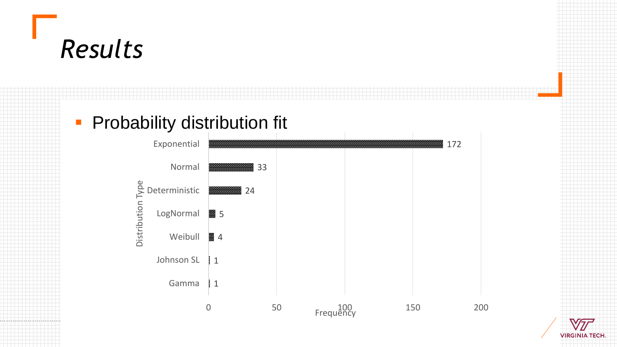### *Results*

#### **• Probability distribution fit**



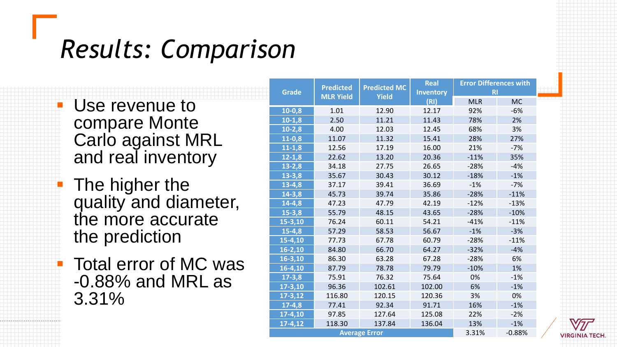### *Results: Comparison*

**E** Use revenue to compare Monte Carlo against MRL and real inventory

**• The higher the** quality and diameter, the more accurate the prediction

■ Total error of MC was -0.88% and MRL as 3.31%

| <b>Grade</b> | <b>Predicted</b>     | <b>Predicted MC</b> | <b>Real</b><br><b>Inventory</b> | <b>Error Differences with</b><br><b>RI</b> |           |  |
|--------------|----------------------|---------------------|---------------------------------|--------------------------------------------|-----------|--|
|              | <b>MLR Yield</b>     | <b>Yield</b>        | (RI)                            | <b>MLR</b>                                 | <b>MC</b> |  |
| $10-0,8$     | 1.01                 | 12.90               | 12.17                           | 92%                                        | $-6%$     |  |
| $10-1,8$     | 2.50                 | 11.21               | 11.43                           | 78%                                        | 2%        |  |
| $10-2,8$     | 4.00                 | 12.03               | 12.45                           | 68%                                        | 3%        |  |
| $11-0,8$     | 11.07                | 11.32               | 15.41                           | 28%                                        | 27%       |  |
| $11 - 1,8$   | 12.56                | 17.19               | 16.00                           | 21%                                        | $-7%$     |  |
| $12 - 1,8$   | 22.62                | 13.20               | 20.36                           | $-11%$                                     | 35%       |  |
| $13 - 2,8$   | 34.18                | 27.75               | 26.65                           | $-28%$                                     | $-4%$     |  |
| $13 - 3,8$   | 35.67                | 30.43               | 30.12                           | $-18%$                                     | $-1%$     |  |
| $13 - 4,8$   | 37.17                | 39.41               | 36.69                           | $-1%$                                      | $-7%$     |  |
| $14 - 3,8$   | 45.73                | 39.74               | 35.86                           | $-28%$                                     | $-11%$    |  |
| $14 - 4, 8$  | 47.23                | 47.79               | 42.19                           | $-12%$                                     | $-13%$    |  |
| $15 - 3,8$   | 55.79                | 48.15               | 43.65<br>$-28%$                 |                                            | $-10%$    |  |
| 15-3,10      | 76.24                | 60.11               | 54.21                           | $-41%$                                     | $-11%$    |  |
| $15 - 4,8$   | 57.29                | 58.53               | 56.67                           | $-1%$                                      | $-3%$     |  |
| $15 - 4,10$  | 77.73                | 67.78               | 60.79                           | $-28%$                                     | $-11%$    |  |
| $16 - 2,10$  | 84.80                | 66.70               | 64.27                           | $-32%$                                     | $-4%$     |  |
| $16 - 3,10$  | 86.30                | 63.28               | 67.28                           | $-28%$                                     | 6%        |  |
| $16-4, 10$   | 87.79                | 78.78               | 79.79                           | $-10%$                                     | 1%        |  |
| $17 - 3,8$   | 75.91                | 76.32               | 75.64                           | 0%                                         | $-1%$     |  |
| $17 - 3,10$  | 96.36                | 102.61              | 102.00                          | 6%                                         | $-1%$     |  |
| $17 - 3,12$  | 116.80               | 120.15              | 120.36                          | 3%                                         | 0%        |  |
| $17-4,8$     | 77.41                | 92.34               | 91.71                           | 16%                                        | $-1%$     |  |
| 17-4,10      | 97.85                | 127.64              | 125.08                          | 22%                                        | $-2%$     |  |
| $17-4, 12$   | 118.30               | 137.84              | 136.04                          | 13%                                        | $-1%$     |  |
|              | <b>Average Error</b> | 3.31%               | $-0.88%$                        |                                            |           |  |

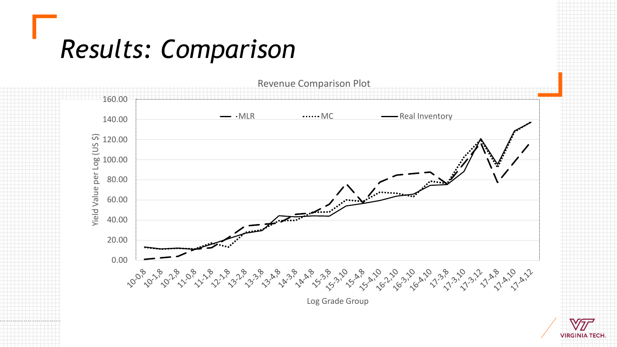### *Results: Comparison*



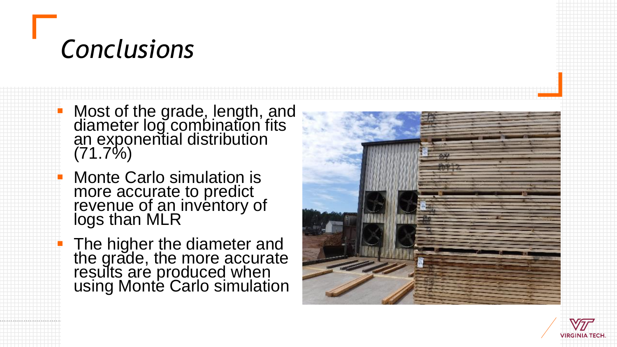## *Conclusions*

■ Most of the grade, length, and diameter log combination fits an exponential distribution  $(71.7\%)$ 

**Monte Carlo simulation is** more accurate to predict revenue of an inventory of logs than MLR

**The higher the diameter and** the grade, the more accurate results are produced when using Monte Carlo simulation